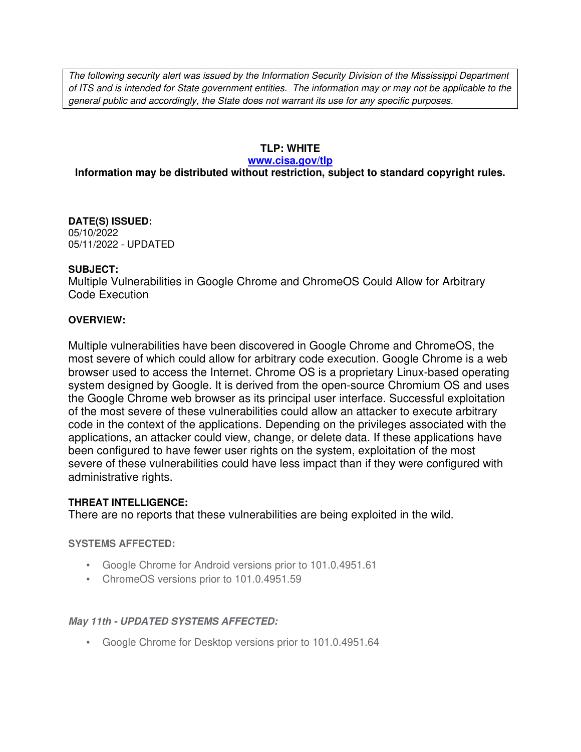The following security alert was issued by the Information Security Division of the Mississippi Department of ITS and is intended for State government entities. The information may or may not be applicable to the general public and accordingly, the State does not warrant its use for any specific purposes.

### **TLP: WHITE**

#### **www.cisa.gov/tlp**

# **Information may be distributed without restriction, subject to standard copyright rules.**

**DATE(S) ISSUED:** 05/10/2022 05/11/2022 - UPDATED

#### **SUBJECT:**

Multiple Vulnerabilities in Google Chrome and ChromeOS Could Allow for Arbitrary Code Execution

#### **OVERVIEW:**

Multiple vulnerabilities have been discovered in Google Chrome and ChromeOS, the most severe of which could allow for arbitrary code execution. Google Chrome is a web browser used to access the Internet. Chrome OS is a proprietary Linux-based operating system designed by Google. It is derived from the open-source Chromium OS and uses the Google Chrome web browser as its principal user interface. Successful exploitation of the most severe of these vulnerabilities could allow an attacker to execute arbitrary code in the context of the applications. Depending on the privileges associated with the applications, an attacker could view, change, or delete data. If these applications have been configured to have fewer user rights on the system, exploitation of the most severe of these vulnerabilities could have less impact than if they were configured with administrative rights.

#### **THREAT INTELLIGENCE:**

There are no reports that these vulnerabilities are being exploited in the wild.

#### **SYSTEMS AFFECTED:**

- Google Chrome for Android versions prior to 101.0.4951.61
- ChromeOS versions prior to 101.0.4951.59

#### **May 11th - UPDATED SYSTEMS AFFECTED:**

• Google Chrome for Desktop versions prior to 101.0.4951.64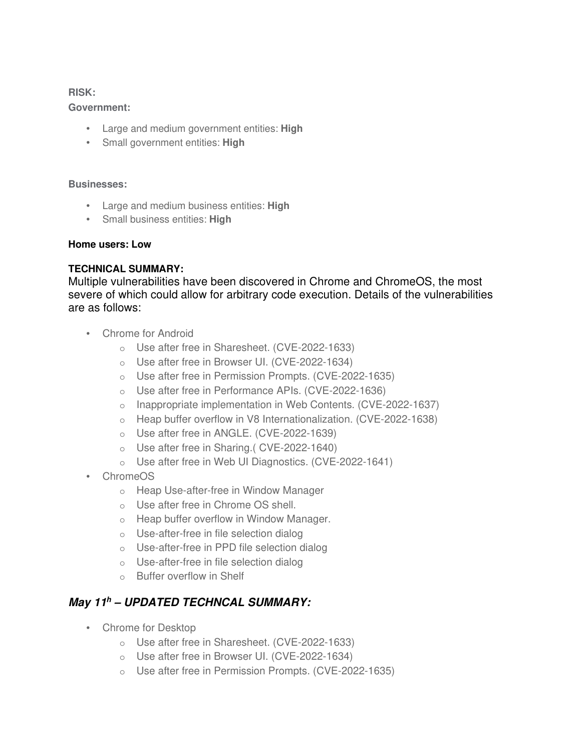**RISK:** 

#### **Government:**

- Large and medium government entities: **High**
- Small government entities: **High**

#### **Businesses:**

- Large and medium business entities: **High**
- Small business entities: **High**

#### **Home users: Low**

#### **TECHNICAL SUMMARY:**

Multiple vulnerabilities have been discovered in Chrome and ChromeOS, the most severe of which could allow for arbitrary code execution. Details of the vulnerabilities are as follows:

- Chrome for Android
	- o Use after free in Sharesheet. (CVE-2022-1633)
	- o Use after free in Browser UI. (CVE-2022-1634)
	- o Use after free in Permission Prompts. (CVE-2022-1635)
	- o Use after free in Performance APIs. (CVE-2022-1636)
	- o Inappropriate implementation in Web Contents. (CVE-2022-1637)
	- o Heap buffer overflow in V8 Internationalization. (CVE-2022-1638)
	- o Use after free in ANGLE. (CVE-2022-1639)
	- o Use after free in Sharing.( CVE-2022-1640)
	- o Use after free in Web UI Diagnostics. (CVE-2022-1641)
- ChromeOS
	- o Heap Use-after-free in Window Manager
	- o Use after free in Chrome OS shell.
	- o Heap buffer overflow in Window Manager.
	- o Use-after-free in file selection dialog
	- o Use-after-free in PPD file selection dialog
	- o Use-after-free in file selection dialog
	- o Buffer overflow in Shelf

# **May 11<sup>h</sup> – UPDATED TECHNCAL SUMMARY:**

- Chrome for Desktop
	- o Use after free in Sharesheet. (CVE-2022-1633)
	- o Use after free in Browser UI. (CVE-2022-1634)
	- o Use after free in Permission Prompts. (CVE-2022-1635)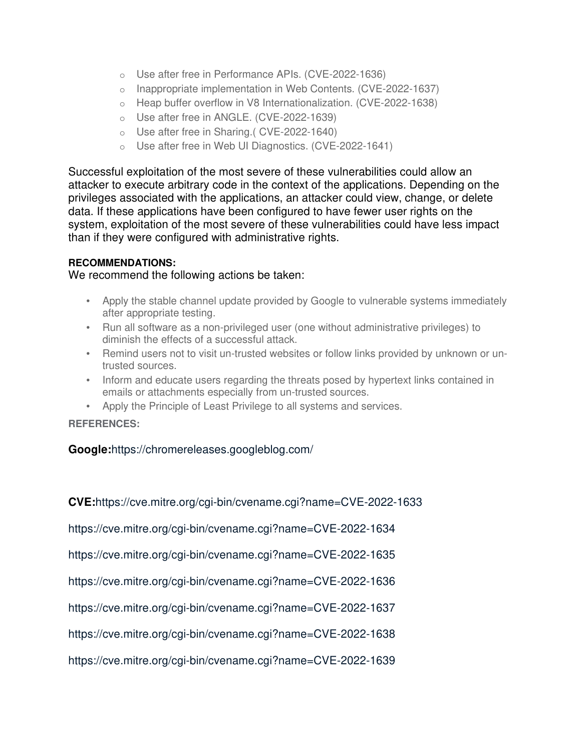- o Use after free in Performance APIs. (CVE-2022-1636)
- o Inappropriate implementation in Web Contents. (CVE-2022-1637)
- o Heap buffer overflow in V8 Internationalization. (CVE-2022-1638)
- o Use after free in ANGLE. (CVE-2022-1639)
- o Use after free in Sharing.( CVE-2022-1640)
- o Use after free in Web UI Diagnostics. (CVE-2022-1641)

Successful exploitation of the most severe of these vulnerabilities could allow an attacker to execute arbitrary code in the context of the applications. Depending on the privileges associated with the applications, an attacker could view, change, or delete data. If these applications have been configured to have fewer user rights on the system, exploitation of the most severe of these vulnerabilities could have less impact than if they were configured with administrative rights.

# **RECOMMENDATIONS:**

# We recommend the following actions be taken:

- Apply the stable channel update provided by Google to vulnerable systems immediately after appropriate testing.
- Run all software as a non-privileged user (one without administrative privileges) to diminish the effects of a successful attack.
- Remind users not to visit un-trusted websites or follow links provided by unknown or untrusted sources.
- Inform and educate users regarding the threats posed by hypertext links contained in emails or attachments especially from un-trusted sources.
- Apply the Principle of Least Privilege to all systems and services.

# **REFERENCES:**

# **Google:**https://chromereleases.googleblog.com/

**CVE:**https://cve.mitre.org/cgi-bin/cvename.cgi?name=CVE-2022-1633 https://cve.mitre.org/cgi-bin/cvename.cgi?name=CVE-2022-1634 https://cve.mitre.org/cgi-bin/cvename.cgi?name=CVE-2022-1635 https://cve.mitre.org/cgi-bin/cvename.cgi?name=CVE-2022-1636 https://cve.mitre.org/cgi-bin/cvename.cgi?name=CVE-2022-1637 https://cve.mitre.org/cgi-bin/cvename.cgi?name=CVE-2022-1638 https://cve.mitre.org/cgi-bin/cvename.cgi?name=CVE-2022-1639